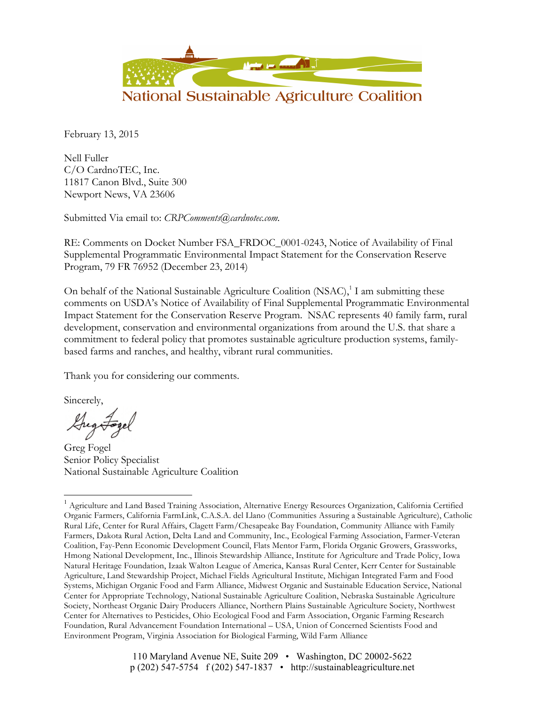

February 13, 2015

Nell Fuller C/O CardnoTEC, Inc. 11817 Canon Blvd., Suite 300 Newport News, VA 23606

Submitted Via email to: *CRPComments@cardnotec.com*.

RE: Comments on Docket Number FSA\_FRDOC\_0001-0243, Notice of Availability of Final Supplemental Programmatic Environmental Impact Statement for the Conservation Reserve Program, 79 FR 76952 (December 23, 2014)

On behalf of the National Sustainable Agriculture Coalition (NSAC),<sup>1</sup> I am submitting these comments on USDA's Notice of Availability of Final Supplemental Programmatic Environmental Impact Statement for the Conservation Reserve Program. NSAC represents 40 family farm, rural development, conservation and environmental organizations from around the U.S. that share a commitment to federal policy that promotes sustainable agriculture production systems, familybased farms and ranches, and healthy, vibrant rural communities.

Thank you for considering our comments.

Sincerely,

Gregoragel

Greg Fogel Senior Policy Specialist National Sustainable Agriculture Coalition

<sup>&</sup>lt;sup>1</sup> Agriculture and Land Based Training Association, Alternative Energy Resources Organization, California Certified Organic Farmers, California FarmLink, C.A.S.A. del Llano (Communities Assuring a Sustainable Agriculture), Catholic Rural Life, Center for Rural Affairs, Clagett Farm/Chesapeake Bay Foundation, Community Alliance with Family Farmers, Dakota Rural Action, Delta Land and Community, Inc., Ecological Farming Association, Farmer-Veteran Coalition, Fay-Penn Economic Development Council, Flats Mentor Farm, Florida Organic Growers, Grassworks, Hmong National Development, Inc., Illinois Stewardship Alliance, Institute for Agriculture and Trade Policy, Iowa Natural Heritage Foundation, Izaak Walton League of America, Kansas Rural Center, Kerr Center for Sustainable Agriculture, Land Stewardship Project, Michael Fields Agricultural Institute, Michigan Integrated Farm and Food Systems, Michigan Organic Food and Farm Alliance, Midwest Organic and Sustainable Education Service, National Center for Appropriate Technology, National Sustainable Agriculture Coalition, Nebraska Sustainable Agriculture Society, Northeast Organic Dairy Producers Alliance, Northern Plains Sustainable Agriculture Society, Northwest Center for Alternatives to Pesticides, Ohio Ecological Food and Farm Association, Organic Farming Research Foundation, Rural Advancement Foundation International – USA, Union of Concerned Scientists Food and Environment Program, Virginia Association for Biological Farming, Wild Farm Alliance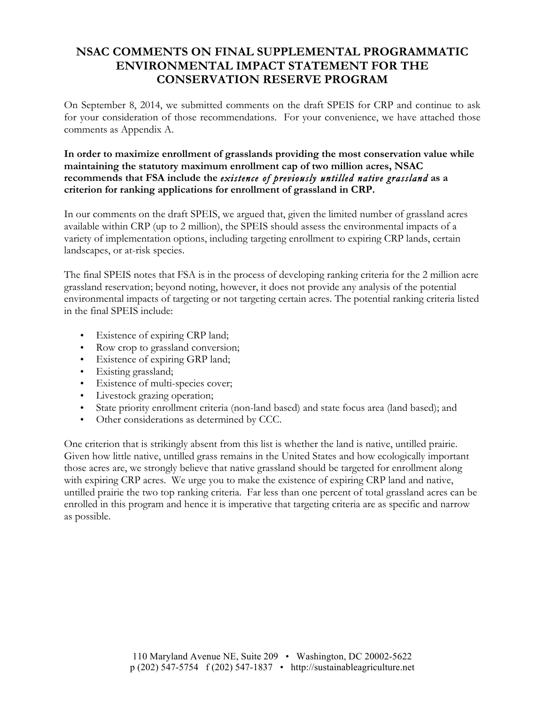# **NSAC COMMENTS ON FINAL SUPPLEMENTAL PROGRAMMATIC ENVIRONMENTAL IMPACT STATEMENT FOR THE CONSERVATION RESERVE PROGRAM**

On September 8, 2014, we submitted comments on the draft SPEIS for CRP and continue to ask for your consideration of those recommendations. For your convenience, we have attached those comments as Appendix A.

### **In order to maximize enrollment of grasslands providing the most conservation value while maintaining the statutory maximum enrollment cap of two million acres, NSAC recommends that FSA include the** *existence of previously untilled native grassland* **as a criterion for ranking applications for enrollment of grassland in CRP.**

In our comments on the draft SPEIS, we argued that, given the limited number of grassland acres available within CRP (up to 2 million), the SPEIS should assess the environmental impacts of a variety of implementation options, including targeting enrollment to expiring CRP lands, certain landscapes, or at-risk species.

The final SPEIS notes that FSA is in the process of developing ranking criteria for the 2 million acre grassland reservation; beyond noting, however, it does not provide any analysis of the potential environmental impacts of targeting or not targeting certain acres. The potential ranking criteria listed in the final SPEIS include:

- Existence of expiring CRP land;
- Row crop to grassland conversion;
- Existence of expiring GRP land;
- Existing grassland;
- Existence of multi-species cover;
- Livestock grazing operation;
- State priority enrollment criteria (non-land based) and state focus area (land based); and
- Other considerations as determined by CCC.

One criterion that is strikingly absent from this list is whether the land is native, untilled prairie. Given how little native, untilled grass remains in the United States and how ecologically important those acres are, we strongly believe that native grassland should be targeted for enrollment along with expiring CRP acres. We urge you to make the existence of expiring CRP land and native, untilled prairie the two top ranking criteria. Far less than one percent of total grassland acres can be enrolled in this program and hence it is imperative that targeting criteria are as specific and narrow as possible.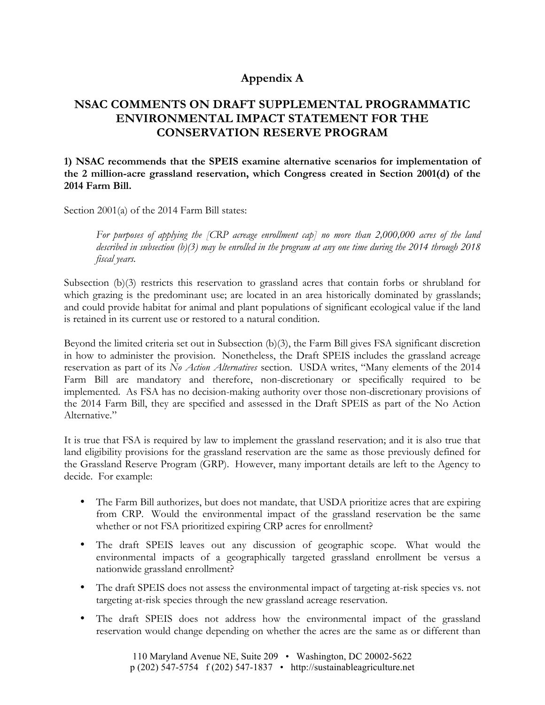### **Appendix A**

## **NSAC COMMENTS ON DRAFT SUPPLEMENTAL PROGRAMMATIC ENVIRONMENTAL IMPACT STATEMENT FOR THE CONSERVATION RESERVE PROGRAM**

**1) NSAC recommends that the SPEIS examine alternative scenarios for implementation of the 2 million-acre grassland reservation, which Congress created in Section 2001(d) of the 2014 Farm Bill.** 

Section 2001(a) of the 2014 Farm Bill states:

*For purposes of applying the [CRP acreage enrollment cap] no more than 2,000,000 acres of the land described in subsection (b)(3) may be enrolled in the program at any one time during the 2014 through 2018 fiscal years.*

Subsection (b)(3) restricts this reservation to grassland acres that contain forbs or shrubland for which grazing is the predominant use; are located in an area historically dominated by grasslands; and could provide habitat for animal and plant populations of significant ecological value if the land is retained in its current use or restored to a natural condition.

Beyond the limited criteria set out in Subsection (b)(3), the Farm Bill gives FSA significant discretion in how to administer the provision. Nonetheless, the Draft SPEIS includes the grassland acreage reservation as part of its *No Action Alternatives* section. USDA writes, "Many elements of the 2014 Farm Bill are mandatory and therefore, non-discretionary or specifically required to be implemented. As FSA has no decision-making authority over those non-discretionary provisions of the 2014 Farm Bill, they are specified and assessed in the Draft SPEIS as part of the No Action Alternative."

It is true that FSA is required by law to implement the grassland reservation; and it is also true that land eligibility provisions for the grassland reservation are the same as those previously defined for the Grassland Reserve Program (GRP). However, many important details are left to the Agency to decide. For example:

- The Farm Bill authorizes, but does not mandate, that USDA prioritize acres that are expiring from CRP. Would the environmental impact of the grassland reservation be the same whether or not FSA prioritized expiring CRP acres for enrollment?
- The draft SPEIS leaves out any discussion of geographic scope. What would the environmental impacts of a geographically targeted grassland enrollment be versus a nationwide grassland enrollment?
- The draft SPEIS does not assess the environmental impact of targeting at-risk species vs. not targeting at-risk species through the new grassland acreage reservation.
- The draft SPEIS does not address how the environmental impact of the grassland reservation would change depending on whether the acres are the same as or different than

110 Maryland Avenue NE, Suite 209 • Washington, DC 20002-5622 p (202) 547-5754 f (202) 547-1837 • http://sustainableagriculture.net